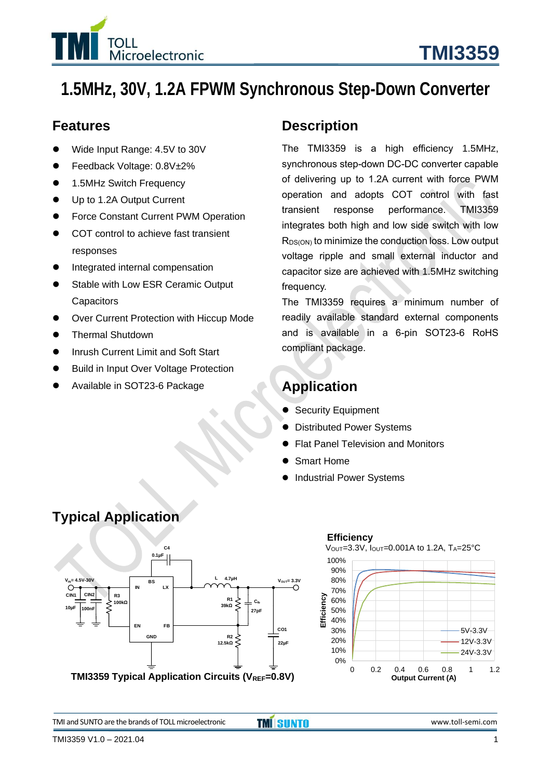

## **1.5MHz, 30V, 1.2A FPWM Synchronous Step-Down Converter**

#### **Features**

- ⚫ Wide Input Range: 4.5V to 30V
- ⚫ Feedback Voltage: 0.8V±2%
- 1.5MHz Switch Frequency
- Up to 1.2A Output Current
- Force Constant Current PWM Operation
- COT control to achieve fast transient responses
- ⚫ Integrated internal compensation
- Stable with Low ESR Ceramic Output **Capacitors**
- Over Current Protection with Hiccup Mode
- ⚫ Thermal Shutdown
- Inrush Current Limit and Soft Start
- Build in Input Over Voltage Protection
- ⚫ Available in SOT23-6 Package

#### **Description**

The TMI3359 is a high efficiency 1.5MHz, synchronous step-down DC-DC converter capable of delivering up to 1.2A current with force PWM operation and adopts COT control with fast transient response performance. TMI3359 integrates both high and low side switch with low  $R_{DS(ON)}$  to minimize the conduction loss. Low output voltage ripple and small external inductor and capacitor size are achieved with 1.5MHz switching frequency.

The TMI3359 requires a minimum number of readily available standard external components and is available in a 6-pin SOT23-6 RoHS compliant package.

## **Application**

- Security Equipment
- ⚫ Distributed Power Systems
- ⚫ Flat Panel Television and Monitors
- ⚫ Smart Home
- ⚫ Industrial Power Systems



# **Typical Application**



TMI and SUNTO are the brands of TOLL microelectronic **TMI** SUNTO **WALL CONTO STANDARY AND SET ASSESS** www.toll-semi.com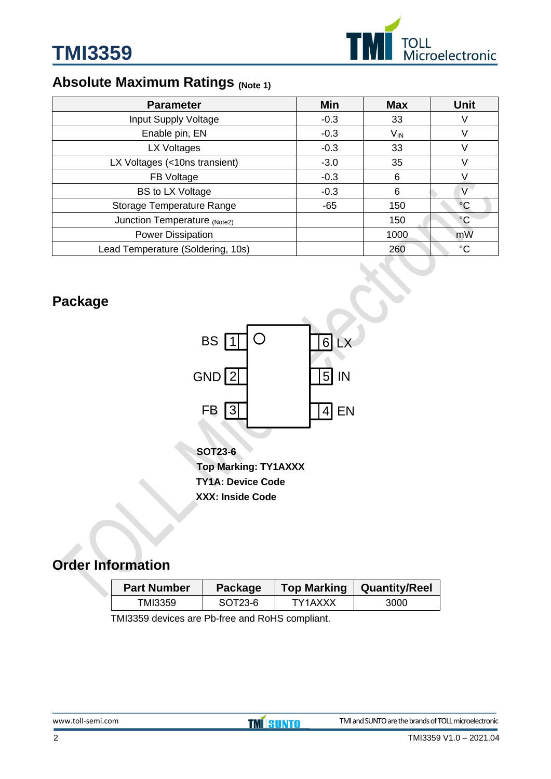

## **Absolute Maximum Ratings (Note 1)**

| <b>Parameter</b>                  | Min    | <b>Max</b>      | <b>Unit</b>     |
|-----------------------------------|--------|-----------------|-----------------|
| Input Supply Voltage              | $-0.3$ | 33              |                 |
| Enable pin, EN                    | $-0.3$ | V <sub>IN</sub> |                 |
| LX Voltages                       | $-0.3$ | 33              |                 |
| LX Voltages (<10ns transient)     | $-3.0$ | 35              |                 |
| FB Voltage                        | $-0.3$ | 6               |                 |
| <b>BS to LX Voltage</b>           | $-0.3$ | 6               |                 |
| Storage Temperature Range         | $-65$  | 150             | $\rm ^{\circ}C$ |
| Junction Temperature (Note2)      |        | 150             | $\rm ^{\circ}C$ |
| <b>Power Dissipation</b>          |        | 1000            | mW              |
| Lead Temperature (Soldering, 10s) |        | 260             | $^{\circ}C$     |

## **Package**



**SOT23-6 Top Marking: TY1AXXX TY1A: Device Code XXX: Inside Code**

## **Order Information**

| <b>Part Number</b> | Package | <b>Top Marking</b> | <b>Quantity/Reel</b> |
|--------------------|---------|--------------------|----------------------|
| TMI3359            | SOT23-6 | TY1AXXX            | 3000                 |

TMI3359 devices are Pb-free and RoHS compliant.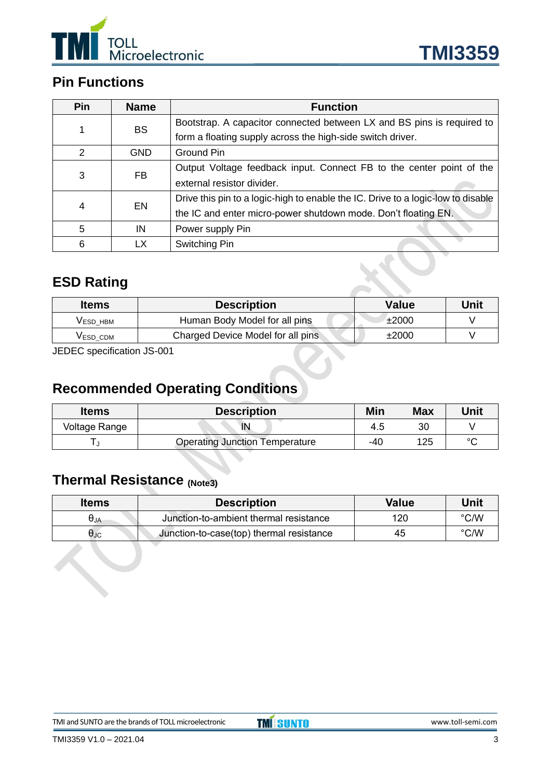

## **Pin Functions**

| <b>Pin</b>     | <b>Name</b> | <b>Function</b>                                                                  |
|----------------|-------------|----------------------------------------------------------------------------------|
|                | <b>BS</b>   | Bootstrap. A capacitor connected between LX and BS pins is required to           |
|                |             | form a floating supply across the high-side switch driver.                       |
| $\mathcal{P}$  | <b>GND</b>  | <b>Ground Pin</b>                                                                |
| <b>FB</b><br>3 |             | Output Voltage feedback input. Connect FB to the center point of the             |
|                |             | external resistor divider.                                                       |
| <b>EN</b><br>4 |             | Drive this pin to a logic-high to enable the IC. Drive to a logic-low to disable |
|                |             | the IC and enter micro-power shutdown mode. Don't floating EN.                   |
| 5              | IN          | Power supply Pin                                                                 |
| 6              | LX          | Switching Pin                                                                    |

## **ESD Rating**

| <b>Items</b>         | <b>Description</b>                 | <b>Value</b> | Unit |
|----------------------|------------------------------------|--------------|------|
| VESD HBM             | Human Body Model for all pins      | ±2000        |      |
| V <sub>ESD</sub> CDM | Charged Device Model for all pins  | ±2000        |      |
| $\cdots$             | $\sim$ $\sim$ $\sim$ $\sim$ $\sim$ |              |      |

JEDEC specification JS-001

## **Recommended Operating Conditions**

| <b>Items</b>  | <b>Description</b>                    | Min | Max | Unit    |
|---------------|---------------------------------------|-----|-----|---------|
| Voltage Range | $\mathsf{I}\mathsf{N}$                | 4.5 | 30  |         |
|               | <b>Operating Junction Temperature</b> | -40 | 125 | $\circ$ |

## **Thermal Resistance (Note3)**

| <b>Items</b>              | <b>Description</b>                       | <b>Value</b> | Unit          |
|---------------------------|------------------------------------------|--------------|---------------|
| $\theta$ JA               | Junction-to-ambient thermal resistance   | 120          | $\degree$ C/W |
| $\bm{\theta}_{\text{JC}}$ | Junction-to-case(top) thermal resistance | 45           | $\degree$ C/W |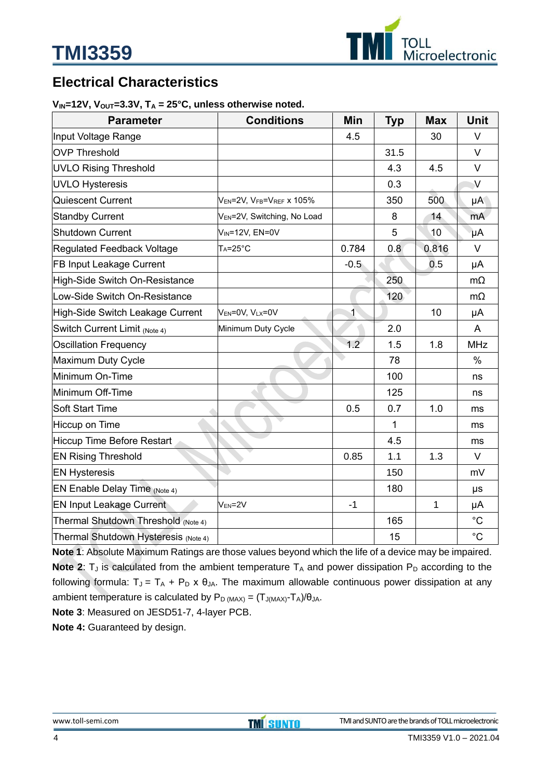

## **Electrical Characteristics**

#### $V_{IN}$ =12V,  $V_{OUT}$ =3.3V,  $T_A$  = 25°C, unless otherwise noted.

| <b>Parameter</b>                     | <b>Conditions</b>                       | Min            | <b>Typ</b> | <b>Max</b>      | <b>Unit</b>  |
|--------------------------------------|-----------------------------------------|----------------|------------|-----------------|--------------|
| Input Voltage Range                  |                                         | 4.5            |            | 30              | V            |
| <b>OVP Threshold</b>                 |                                         |                | 31.5       |                 | V            |
| <b>UVLO Rising Threshold</b>         |                                         |                | 4.3        | 4.5             | V            |
| <b>UVLO Hysteresis</b>               |                                         |                | 0.3        |                 | $\sqrt{}$    |
| Quiescent Current                    | VEN=2V, VFB=VREF X 105%                 |                | 350        | 500             | μA           |
| <b>Standby Current</b>               | V <sub>EN</sub> =2V, Switching, No Load |                | 8          | 14              | mA           |
| <b>Shutdown Current</b>              | V <sub>IN</sub> =12V, EN=0V             |                | 5          | 10 <sup>°</sup> | μA           |
| Regulated Feedback Voltage           | $Ta=25^{\circ}C$                        | 0.784          | 0.8        | 0.816           | $\vee$       |
| FB Input Leakage Current             |                                         | $-0.5$         |            | 0.5             | μA           |
| High-Side Switch On-Resistance       |                                         |                | 250        |                 | $m\Omega$    |
| Low-Side Switch On-Resistance        |                                         |                | 120        |                 | $m\Omega$    |
| High-Side Switch Leakage Current     | VEN=0V, VLX=0V                          | $\overline{1}$ |            | 10              | μA           |
| Switch Current Limit (Note 4)        | Minimum Duty Cycle                      |                | 2.0        |                 | A            |
| <b>Oscillation Frequency</b>         |                                         | 1.2            | 1.5        | 1.8             | <b>MHz</b>   |
| Maximum Duty Cycle                   |                                         |                | 78         |                 | $\%$         |
| Minimum On-Time                      |                                         |                | 100        |                 | ns           |
| Minimum Off-Time                     |                                         |                | 125        |                 | ns           |
| <b>Soft Start Time</b>               |                                         | 0.5            | 0.7        | 1.0             | ms           |
| Hiccup on Time                       |                                         |                | 1          |                 | ms           |
| <b>Hiccup Time Before Restart</b>    |                                         |                | 4.5        |                 | ms           |
| <b>EN Rising Threshold</b>           |                                         | 0.85           | 1.1        | 1.3             | $\vee$       |
| <b>EN Hysteresis</b>                 |                                         |                | 150        |                 | mV           |
| EN Enable Delay Time (Note 4)        |                                         |                | 180        |                 | μs           |
| <b>EN Input Leakage Current</b>      | $V_{EN} = 2V$                           | $-1$           |            | 1               | μA           |
| Thermal Shutdown Threshold (Note 4)  |                                         |                | 165        |                 | $^{\circ}$ C |
| Thermal Shutdown Hysteresis (Note 4) |                                         |                | 15         |                 | $^{\circ}C$  |

**Note 1**: Absolute Maximum Ratings are those values beyond which the life of a device may be impaired. **Note 2:**  $T_J$  is calculated from the ambient temperature  $T_A$  and power dissipation  $P_D$  according to the following formula:  $T_J = T_A + P_D \times \theta_{JA}$ . The maximum allowable continuous power dissipation at any ambient temperature is calculated by  $P_D (MAX) = (T_{J(MAX)} - T_A)/\theta_{JA}$ .

**Note 3**: Measured on JESD51-7, 4-layer PCB.

**Note 4:** Guaranteed by design.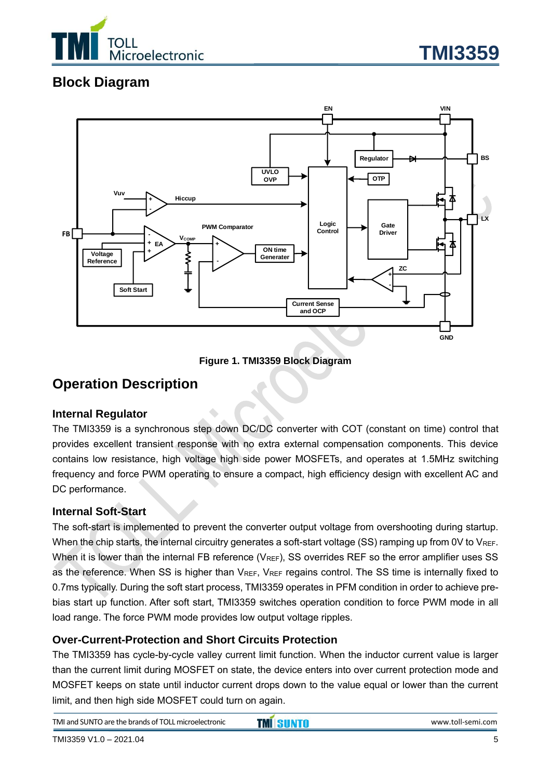

## **Block Diagram**



**Figure 1. TMI3359 Block Diagram**

#### **Operation Description**

#### **Internal Regulator**

The TMI3359 is a synchronous step down DC/DC converter with COT (constant on time) control that provides excellent transient response with no extra external compensation components. This device contains low resistance, high voltage high side power MOSFETs, and operates at 1.5MHz switching frequency and force PWM operating to ensure a compact, high efficiency design with excellent AC and DC performance.

#### **Internal Soft-Start**

The soft-start is implemented to prevent the converter output voltage from overshooting during startup. When the chip starts, the internal circuitry generates a soft-start voltage (SS) ramping up from 0V to  $V_{REF}$ . When it is lower than the internal FB reference ( $V_{REF}$ ), SS overrides REF so the error amplifier uses SS as the reference. When SS is higher than  $V_{REF}$ ,  $V_{REF}$  regains control. The SS time is internally fixed to 0.7ms typically. During the soft start process, TMI3359 operates in PFM condition in order to achieve prebias start up function. After soft start, TMI3359 switches operation condition to force PWM mode in all load range. The force PWM mode provides low output voltage ripples.

#### **Over-Current-Protection and Short Circuits Protection**

The TMI3359 has cycle-by-cycle valley current limit function. When the inductor current value is larger than the current limit during MOSFET on state, the device enters into over current protection mode and MOSFET keeps on state until inductor current drops down to the value equal or lower than the current limit, and then high side MOSFET could turn on again.

TMI and SUNTO are the brands of TOLL microelectronic **TMI** SUNTO **WALL CONTO STANDARY AND SET ASSESS** www.toll-semi.com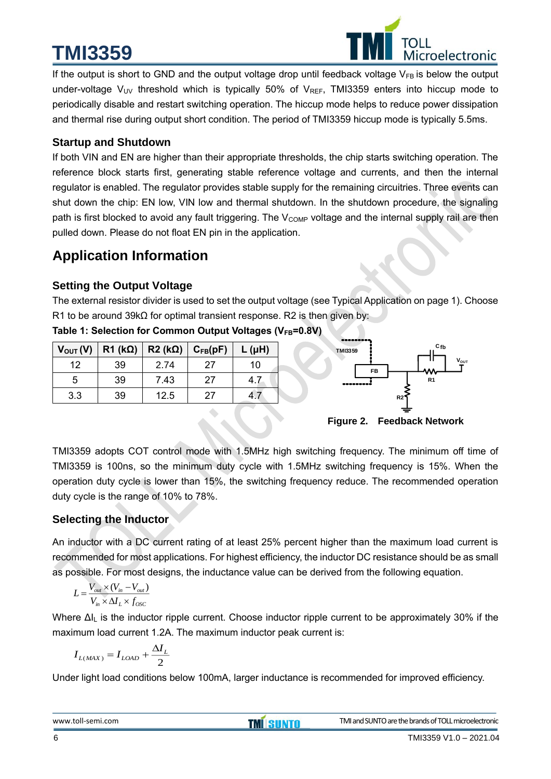# **TMI3359**



If the output is short to GND and the output voltage drop until feedback voltage  $V_{FB}$  is below the output under-voltage  $V_{UV}$  threshold which is typically 50% of  $V_{REF}$ , TMI3359 enters into hiccup mode to periodically disable and restart switching operation. The hiccup mode helps to reduce power dissipation and thermal rise during output short condition. The period of TMI3359 hiccup mode is typically 5.5ms.

#### **Startup and Shutdown**

If both VIN and EN are higher than their appropriate thresholds, the chip starts switching operation. The reference block starts first, generating stable reference voltage and currents, and then the internal regulator is enabled. The regulator provides stable supply for the remaining circuitries. Three events can shut down the chip: EN low, VIN low and thermal shutdown. In the shutdown procedure, the signaling path is first blocked to avoid any fault triggering. The  $V_{\text{COMP}}$  voltage and the internal supply rail are then pulled down. Please do not float EN pin in the application.

## **Application Information**

#### **Setting the Output Voltage**

The external resistor divider is used to set the output voltage (see Typical Application on page 1). Choose R1 to be around 39kΩ for optimal transient response. R2 is then given by:

|     | $V_{\text{OUT}}(V)$   R1 (k $\Omega$ )   R2 (k $\Omega$ )   C <sub>FB</sub> (pF) |      |    | $L(\mu H)$ |
|-----|----------------------------------------------------------------------------------|------|----|------------|
| 12  | 39                                                                               | 2.74 | 27 | 10         |
| 5.  | 39                                                                               | 7.43 | 27 | 4.7        |
| 3.3 | 39                                                                               | 12.5 | 27 |            |



**Figure 2. Feedback Network**

TMI3359 adopts COT control mode with 1.5MHz high switching frequency. The minimum off time of TMI3359 is 100ns, so the minimum duty cycle with 1.5MHz switching frequency is 15%. When the operation duty cycle is lower than 15%, the switching frequency reduce. The recommended operation duty cycle is the range of 10% to 78%.

#### **Selecting the Inductor**

An inductor with a DC current rating of at least 25% percent higher than the maximum load current is recommended for most applications. For highest efficiency, the inductor DC resistance should be as small as possible. For most designs, the inductance value can be derived from the following equation.

$$
L = \frac{V_{out} \times (V_{in} - V_{out})}{V_{in} \times \Delta I_L \times f_{osc}}
$$

Where ΔI<sup>L</sup> is the inductor ripple current. Choose inductor ripple current to be approximately 30% if the maximum load current 1.2A. The maximum inductor peak current is:

$$
I_{L(MAX)} = I_{LOAD} + \frac{\Delta I_L}{2}
$$

Under light load conditions below 100mA, larger inductance is recommended for improved efficiency.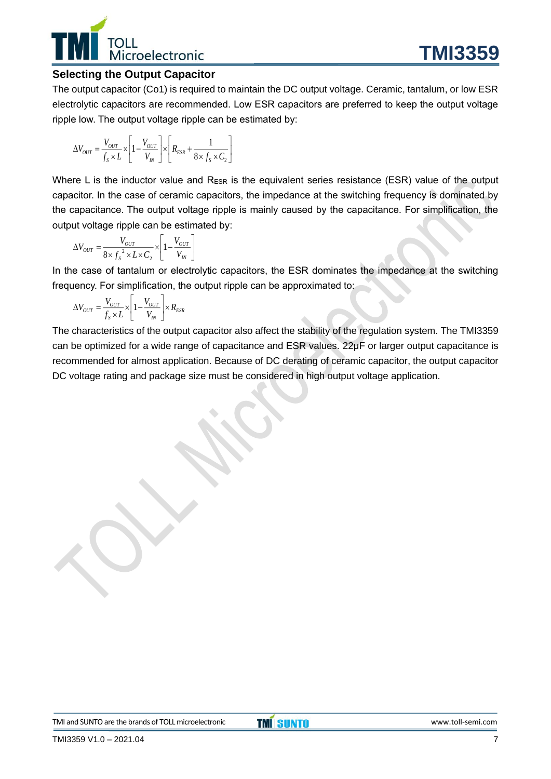# Microelectronic

#### **Selecting the Output Capacitor**

The output capacitor (Co1) is required to maintain the DC output voltage. Ceramic, tantalum, or low ESR electrolytic capacitors are recommended. Low ESR capacitors are preferred to keep the output voltage ripple low. The output voltage ripple can be estimated by:

$$
\Delta V_{OUT} = \frac{V_{OUT}}{f_s \times L} \times \left[1 - \frac{V_{OUT}}{V_{IN}}\right] \times \left[R_{ESR} + \frac{1}{8 \times f_s \times C_2}\right]
$$

Where L is the inductor value and  $R_{ESR}$  is the equivalent series resistance (ESR) value of the output capacitor. In the case of ceramic capacitors, the impedance at the switching frequency is dominated by the capacitance. The output voltage ripple is mainly caused by the capacitance. For simplification, the output voltage ripple can be estimated by:

$$
\Delta V_{OUT} = \frac{V_{OUT}}{8 \times f_s^2 \times L \times C_2} \times \left[1 - \frac{V_{OUT}}{V_{IN}}\right]
$$

In the case of tantalum or electrolytic capacitors, the ESR dominates the impedance at the switching frequency. For simplification, the output ripple can be approximated to:

$$
\Delta V_{OUT} = \frac{V_{OUT}}{f_s \times L} \times \left[1 - \frac{V_{OUT}}{V_{IN}}\right] \times R_{ESR}
$$

The characteristics of the output capacitor also affect the stability of the regulation system. The TMI3359 can be optimized for a wide range of capacitance and ESR values. 22μF or larger output capacitance is recommended for almost application. Because of DC derating of ceramic capacitor, the output capacitor DC voltage rating and package size must be considered in high output voltage application.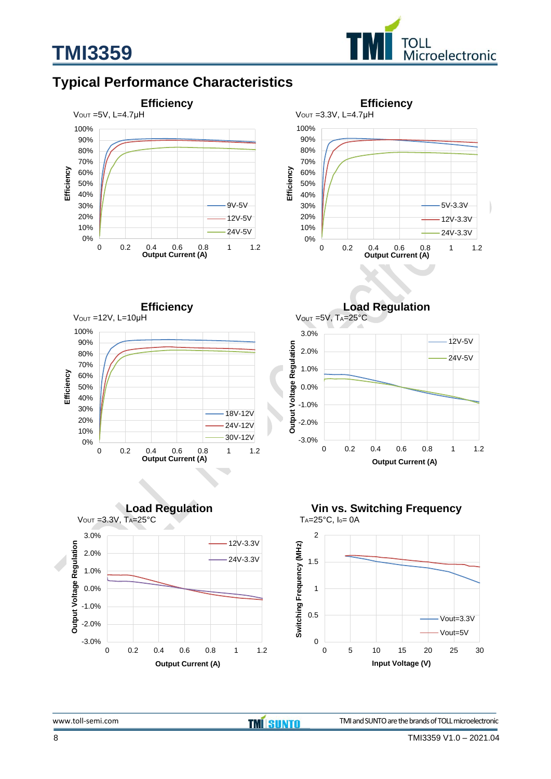

## **Typical Performance Characteristics**

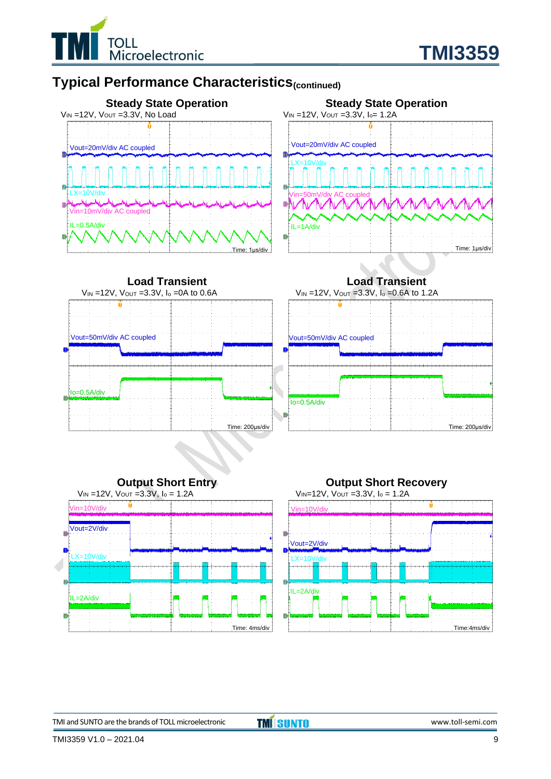

## **Typical Performance Characteristics(continued)**













TMI and SUNTO are the brands of TOLL microelectronic **TMI** SUNTO **WALL CONTO STATE** www.toll-semi.com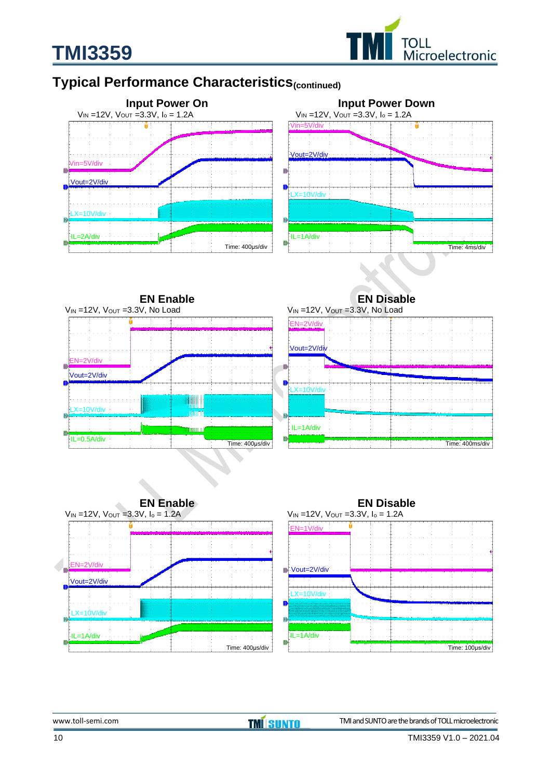

## **Typical Performance Characteristics(continued)**

**TMI3359**





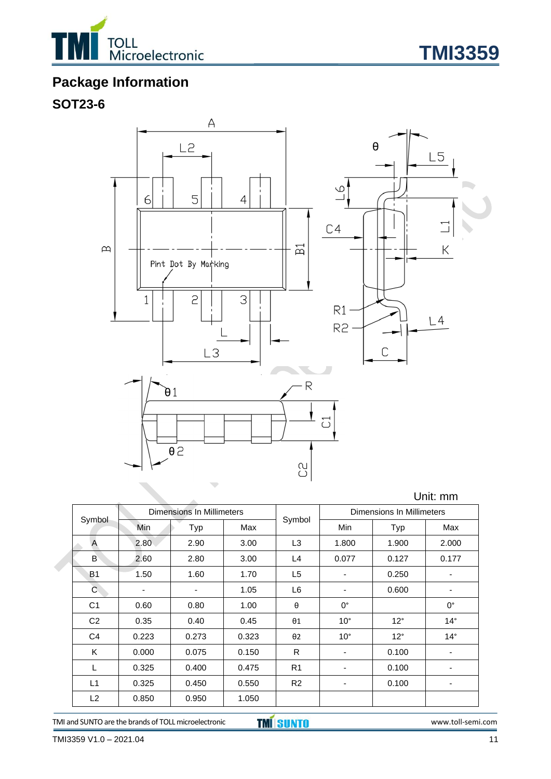



## **Package Information**

## **SOT23-6**



|                |       |                           |       |                |                           |              | Unit: mm    |
|----------------|-------|---------------------------|-------|----------------|---------------------------|--------------|-------------|
| Symbol         |       | Dimensions In Millimeters |       |                | Dimensions In Millimeters |              |             |
|                | Min   | Typ                       | Max   | Symbol         | Min                       | Typ          | Max         |
| A              | 2.80  | 2.90                      | 3.00  | L <sub>3</sub> | 1.800                     | 1.900        | 2.000       |
| B              | 2.60  | 2.80                      | 3.00  | L4             | 0.077                     | 0.127        | 0.177       |
| <b>B1</b>      | 1.50  | 1.60                      | 1.70  | L5             |                           | 0.250        |             |
| C              | ۰     | ٠                         | 1.05  | L6             | ٠                         | 0.600        | ٠           |
| C <sub>1</sub> | 0.60  | 0.80                      | 1.00  | $\theta$       | $0^{\circ}$               |              | $0^{\circ}$ |
| C <sub>2</sub> | 0.35  | 0.40                      | 0.45  | $\theta$ 1     | $10^{\circ}$              | $12^{\circ}$ | $14^\circ$  |
| C <sub>4</sub> | 0.223 | 0.273                     | 0.323 | $\theta$ 2     | $10^{\circ}$              | $12^{\circ}$ | $14^\circ$  |
| K              | 0.000 | 0.075                     | 0.150 | R              |                           | 0.100        | -           |
| L              | 0.325 | 0.400                     | 0.475 | R <sub>1</sub> | ۰                         | 0.100        | -           |
| L1             | 0.325 | 0.450                     | 0.550 | R <sub>2</sub> |                           | 0.100        |             |
| L2             | 0.850 | 0.950                     | 1.050 |                |                           |              |             |

TMI and SUNTO are the brands of TOLL microelectronic **TMI SUNTO** www.toll-semi.com